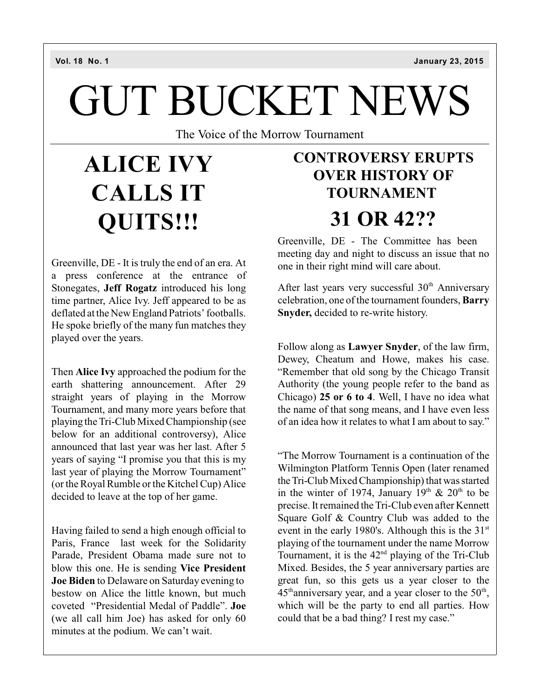# GUT BUCKET NEWS

The Voice of the Morrow Tournament

# **ALICE IVY CALLS IT QUITS!!!**

Greenville, DE - It is truly the end of an era. At a press conference at the entrance of Stonegates, **Jeff Rogatz** introduced his long time partner, Alice Ivy. Jeff appeared to be as deflated at the New England Patriots' footballs. He spoke briefly of the many fun matches they played over the years.

Then **Alice Ivy** approached the podium for the earth shattering announcement. After 29 straight years of playing in the Morrow Tournament, and many more years before that playing the Tri-Club MixedChampionship (see below for an additional controversy), Alice announced that last year was her last. After 5 years of saying "I promise you that this is my last year of playing the Morrow Tournament" (or the Royal Rumble or the Kitchel Cup) Alice decided to leave at the top of her game.

Having failed to send a high enough official to Paris, France last week for the Solidarity Parade, President Obama made sure not to blow this one. He is sending **Vice President Joe Biden** to Delaware on Saturday evening to bestow on Alice the little known, but much coveted "Presidential Medal of Paddle". **Joe** (we all call him Joe) has asked for only 60 minutes at the podium. We can't wait.

### **CONTROVERSY ERUPTS OVER HISTORY OF TOURNAMENT 31 OR 42??**

Greenville, DE - The Committee has been meeting day and night to discuss an issue that no one in their right mind will care about.

After last years very successful  $30<sup>th</sup>$  Anniversary celebration, one of the tournament founders, **Barry Snyder,** decided to re-write history.

Follow along as **Lawyer Snyder**, of the law firm, Dewey, Cheatum and Howe, makes his case. "Remember that old song by the Chicago Transit Authority (the young people refer to the band as Chicago) **25 or 6 to 4**. Well, I have no idea what the name of that song means, and I have even less of an idea how it relates to what I am about to say."

"The Morrow Tournament is a continuation of the Wilmington Platform Tennis Open (later renamed theTri-Club Mixed Championship) that was started in the winter of 1974, January  $19^{th}$  &  $20^{th}$  to be precise. It remained the Tri-Club even after Kennett Square Golf & Country Club was added to the event in the early 1980's. Although this is the  $31<sup>st</sup>$ playing of the tournament under the name Morrow Tournament, it is the  $42<sup>nd</sup>$  playing of the Tri-Club Mixed. Besides, the 5 year anniversary parties are great fun, so this gets us a year closer to the  $45<sup>th</sup>$ anniversary year, and a year closer to the  $50<sup>th</sup>$ , which will be the party to end all parties. How could that be a bad thing? I rest my case."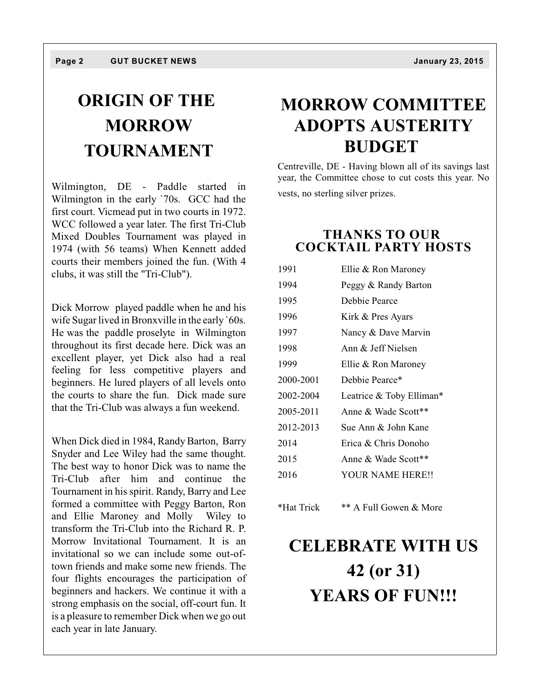# **ORIGIN OF THE MORROW TOURNAMENT**

Wilmington, DE - Paddle started in Wilmington in the early `70s. GCC had the first court. Vicmead put in two courts in 1972. WCC followed a year later. The first Tri-Club Mixed Doubles Tournament was played in 1974 (with 56 teams) When Kennett added courts their members joined the fun. (With 4 clubs, it was still the "Tri-Club").

Dick Morrow played paddle when he and his wife Sugar lived in Bronxville in the early `60s. He was the paddle proselyte in Wilmington throughout its first decade here. Dick was an excellent player, yet Dick also had a real feeling for less competitive players and beginners. He lured players of all levels onto the courts to share the fun. Dick made sure that the Tri-Club was always a fun weekend.

When Dick died in 1984, Randy Barton, Barry Snyder and Lee Wiley had the same thought. The best way to honor Dick was to name the Tri-Club after him and continue the Tournament in his spirit. Randy, Barry and Lee formed a committee with Peggy Barton, Ron and Ellie Maroney and Molly Wiley to transform the Tri-Club into the Richard R. P. Morrow Invitational Tournament. It is an invitational so we can include some out-oftown friends and make some new friends. The four flights encourages the participation of beginners and hackers. We continue it with a strong emphasis on the social, off-court fun. It is a pleasure to remember Dick when we go out each year in late January.

#### **MORROW COMMITTEE ADOPTS AUSTERITY BUDGET**

Centreville, DE - Having blown all of its savings last year, the Committee chose to cut costs this year. No vests, no sterling silver prizes.

#### **THANKS TO OUR COCKTAIL PARTY HOSTS**

| 1991      | Ellie & Ron Maroney      |  |  |
|-----------|--------------------------|--|--|
| 1994      | Peggy & Randy Barton     |  |  |
| 1995      | Debbie Pearce            |  |  |
| 1996      | Kirk & Pres Ayars        |  |  |
| 1997      | Nancy & Dave Marvin      |  |  |
| 1998      | Ann & Jeff Nielsen       |  |  |
| 1999      | Ellie & Ron Maroney      |  |  |
| 2000-2001 | Debbie Pearce*           |  |  |
| 2002-2004 | Leatrice & Toby Elliman* |  |  |
| 2005-2011 | Anne & Wade Scott**      |  |  |
| 2012-2013 | Sue Ann & John Kane      |  |  |
| 2014      | Erica & Chris Donoho     |  |  |
| 2015      | Anne & Wade Scott**      |  |  |
| 2016      | YOUR NAME HERE!!         |  |  |
|           |                          |  |  |

\*Hat Trick \*\* A Full Gowen & More

## **CELEBRATE WITH US 42 (or 31) YEARS OF FUN!!!**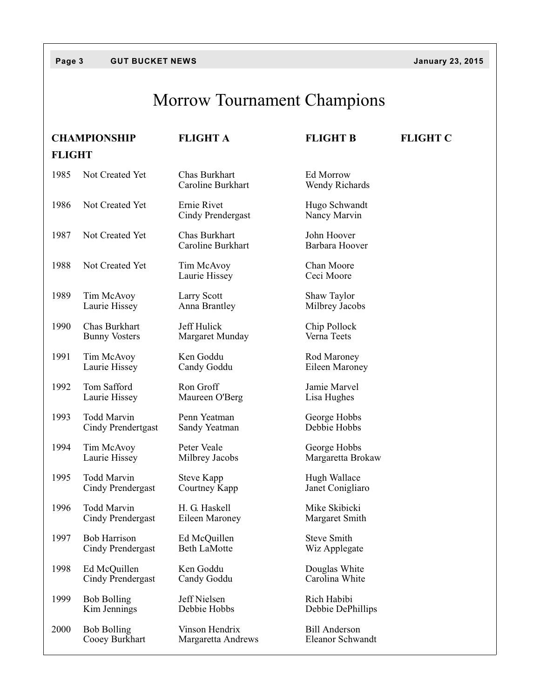#### **Page 3 GUT BUCKET NEWS January 23, 2015**

### Morrow Tournament Champions

|               | <b>CHAMPIONSHIP</b>                      | <b>FLIGHT A</b>                      | <b>FLIGHT B</b>                          | <b>FLIGHT C</b> |  |
|---------------|------------------------------------------|--------------------------------------|------------------------------------------|-----------------|--|
| <b>FLIGHT</b> |                                          |                                      |                                          |                 |  |
| 1985          | Not Created Yet                          | Chas Burkhart<br>Caroline Burkhart   | Ed Morrow<br>Wendy Richards              |                 |  |
| 1986          | Not Created Yet                          | Ernie Rivet<br>Cindy Prendergast     | Hugo Schwandt<br>Nancy Marvin            |                 |  |
| 1987          | Not Created Yet                          | Chas Burkhart<br>Caroline Burkhart   | John Hoover<br>Barbara Hoover            |                 |  |
| 1988          | Not Created Yet                          | Tim McAvoy<br>Laurie Hissey          | Chan Moore<br>Ceci Moore                 |                 |  |
| 1989          | Tim McAvoy<br>Laurie Hissey              | Larry Scott<br>Anna Brantley         | Shaw Taylor<br>Milbrey Jacobs            |                 |  |
| 1990          | Chas Burkhart<br><b>Bunny Vosters</b>    | Jeff Hulick<br>Margaret Munday       | Chip Pollock<br>Verna Teets              |                 |  |
| 1991          | Tim McAvoy<br>Laurie Hissey              | Ken Goddu<br>Candy Goddu             | Rod Maroney<br>Eileen Maroney            |                 |  |
| 1992          | Tom Safford<br>Laurie Hissey             | Ron Groff<br>Maureen O'Berg          | Jamie Marvel<br>Lisa Hughes              |                 |  |
| 1993          | <b>Todd Marvin</b><br>Cindy Prendertgast | Penn Yeatman<br>Sandy Yeatman        | George Hobbs<br>Debbie Hobbs             |                 |  |
| 1994          | Tim McAvoy<br>Laurie Hissey              | Peter Veale<br>Milbrey Jacobs        | George Hobbs<br>Margaretta Brokaw        |                 |  |
| 1995          | <b>Todd Marvin</b><br>Cindy Prendergast  | <b>Steve Kapp</b><br>Courtney Kapp   | Hugh Wallace<br>Janet Conigliaro         |                 |  |
| 1996          | <b>Todd Marvin</b><br>Cindy Prendergast  | H. G. Haskell<br>Eileen Maroney      | Mike Skibicki<br>Margaret Smith          |                 |  |
| 1997          | <b>Bob Harrison</b><br>Cindy Prendergast | Ed McQuillen<br><b>Beth LaMotte</b>  | <b>Steve Smith</b><br>Wiz Applegate      |                 |  |
| 1998          | Ed McQuillen<br>Cindy Prendergast        | Ken Goddu<br>Candy Goddu             | Douglas White<br>Carolina White          |                 |  |
| 1999          | <b>Bob Bolling</b><br>Kim Jennings       | Jeff Nielsen<br>Debbie Hobbs         | Rich Habibi<br>Debbie DePhillips         |                 |  |
| 2000          | <b>Bob Bolling</b><br>Cooey Burkhart     | Vinson Hendrix<br>Margaretta Andrews | <b>Bill Anderson</b><br>Eleanor Schwandt |                 |  |